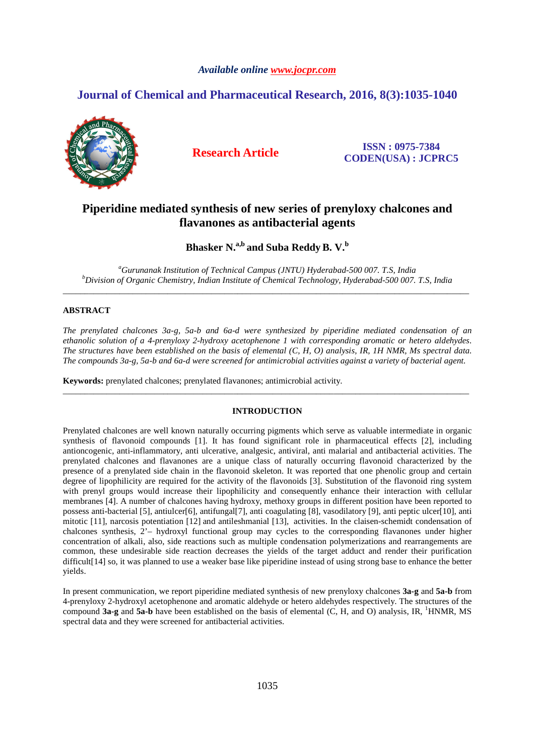## *Available online www.jocpr.com*

# **Journal of Chemical and Pharmaceutical Research, 2016, 8(3):1035-1040**



**Research Article ISSN : 0975-7384 CODEN(USA) : JCPRC5**

# **Piperidine mediated synthesis of new series of prenyloxy chalcones and flavanones as antibacterial agents**

**Bhasker N.a,b and Suba Reddy B. V.<sup>b</sup>**

*<sup>a</sup>Gurunanak Institution of Technical Campus (JNTU) Hyderabad-500 007. T.S, India <sup>b</sup>Division of Organic Chemistry, Indian Institute of Chemical Technology, Hyderabad-500 007. T.S, India*  \_\_\_\_\_\_\_\_\_\_\_\_\_\_\_\_\_\_\_\_\_\_\_\_\_\_\_\_\_\_\_\_\_\_\_\_\_\_\_\_\_\_\_\_\_\_\_\_\_\_\_\_\_\_\_\_\_\_\_\_\_\_\_\_\_\_\_\_\_\_\_\_\_\_\_\_\_\_\_\_\_\_\_\_\_\_\_\_\_\_\_\_\_

# **ABSTRACT**

*The prenylated chalcones 3a-g, 5a-b and 6a-d were synthesized by piperidine mediated condensation of an ethanolic solution of a 4-prenyloxy 2-hydroxy acetophenone 1 with corresponding aromatic or hetero aldehydes. The structures have been established on the basis of elemental (C, H, O) analysis, IR, 1H NMR, Ms spectral data. The compounds 3a-g, 5a-b and 6a-d were screened for antimicrobial activities against a variety of bacterial agent.* 

**Keywords:** prenylated chalcones; prenylated flavanones; antimicrobial activity.

## **INTRODUCTION**

\_\_\_\_\_\_\_\_\_\_\_\_\_\_\_\_\_\_\_\_\_\_\_\_\_\_\_\_\_\_\_\_\_\_\_\_\_\_\_\_\_\_\_\_\_\_\_\_\_\_\_\_\_\_\_\_\_\_\_\_\_\_\_\_\_\_\_\_\_\_\_\_\_\_\_\_\_\_\_\_\_\_\_\_\_\_\_\_\_\_\_\_\_

Prenylated chalcones are well known naturally occurring pigments which serve as valuable intermediate in organic synthesis of flavonoid compounds [1]. It has found significant role in pharmaceutical effects [2], including antioncogenic, anti-inflammatory, anti ulcerative, analgesic, antiviral, anti malarial and antibacterial activities. The prenylated chalcones and flavanones are a unique class of naturally occurring flavonoid characterized by the presence of a prenylated side chain in the flavonoid skeleton. It was reported that one phenolic group and certain degree of lipophilicity are required for the activity of the flavonoids [3]. Substitution of the flavonoid ring system with prenyl groups would increase their lipophilicity and consequently enhance their interaction with cellular membranes [4]. A number of chalcones having hydroxy, methoxy groups in different position have been reported to possess anti-bacterial [5], antiulcer[6]*,* antifungal[7], anti coagulating [8], vasodilatory [9], anti peptic ulcer[10], anti mitotic [11], narcosis potentiation [12] and antileshmanial [13], activities. In the claisen-schemidt condensation of chalcones synthesis, 2'– hydroxyl functional group may cycles to the corresponding flavanones under higher concentration of alkali, also, side reactions such as multiple condensation polymerizations and rearrangements are common, these undesirable side reaction decreases the yields of the target adduct and render their purification difficult<sup>[14]</sup> so, it was planned to use a weaker base like piperidine instead of using strong base to enhance the better yields.

In present communication, we report piperidine mediated synthesis of new prenyloxy chalcones **3a-g** and **5a-b** from 4-prenyloxy 2-hydroxyl acetophenone and aromatic aldehyde or hetero aldehydes respectively. The structures of the compound **3a-g** and **5a-b** have been established on the basis of elemental (C, H, and O) analysis, IR, <sup>1</sup>HNMR, MS spectral data and they were screened for antibacterial activities.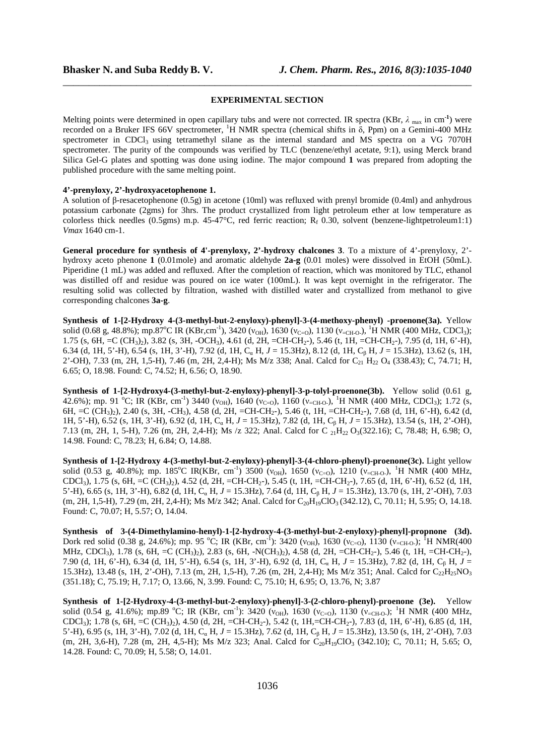#### **EXPERIMENTAL SECTION**

\_\_\_\_\_\_\_\_\_\_\_\_\_\_\_\_\_\_\_\_\_\_\_\_\_\_\_\_\_\_\_\_\_\_\_\_\_\_\_\_\_\_\_\_\_\_\_\_\_\_\_\_\_\_\_\_\_\_\_\_\_\_\_\_\_\_\_\_\_\_\_\_\_\_\_\_\_\_

Melting points were determined in open capillary tubs and were not corrected. IR spectra (KBr,  $\lambda$ <sub>max</sub> in cm<sup>-1</sup>) were recorded on a Bruker IFS 66V spectrometer, <sup>1</sup>H NMR spectra (chemical shifts in  $\delta$ , Ppm) on a Gemini-400 MHz spectrometer in CDCl<sub>3</sub> using tetramethyl silane as the internal standard and MS spectra on a VG 7070H spectrometer. The purity of the compounds was verified by TLC (benzene/ethyl acetate, 9:1), using Merck brand Silica Gel-G plates and spotting was done using iodine. The major compound **1** was prepared from adopting the published procedure with the same melting point.

### **4'-prenyloxy, 2'-hydroxyacetophenone 1.**

A solution of β-resacetophenone (0.5g) in acetone (10ml) was refluxed with prenyl bromide (0.4ml) and anhydrous potassium carbonate (2gms) for 3hrs. The product crystallized from light petroleum ether at low temperature as colorless thick needles (0.5gms) m.p.  $45-47^{\circ}$ C, red ferric reaction; R<sub>f</sub> 0.30, solvent (benzene-lightpetroleum1:1) *Vmax* 1640 cm-1.

**General procedure for synthesis of 4'-prenyloxy, 2'-hydroxy chalcones 3**. To a mixture of 4'-prenyloxy, 2' hydroxy aceto phenone **1** (0.01mole) and aromatic aldehyde **2a-g** (0.01 moles) were dissolved in EtOH (50mL). Piperidine (1 mL) was added and refluxed. After the completion of reaction, which was monitored by TLC, ethanol was distilled off and residue was poured on ice water (100mL). It was kept overnight in the refrigerator. The resulting solid was collected by filtration, washed with distilled water and crystallized from methanol to give corresponding chalcones **3a-g**.

**Synthesis of 1-[2-Hydroxy 4-(3-methyl-but-2-enyloxy)-phenyl]-3-(4-methoxy-phenyl) -proenone(3a).** Yellow solid (0.68 g, 48.8%); mp.87<sup>o</sup>C IR (KBr,cm<sup>-1</sup>), 3420 ( $v_{OH}$ ), 1630 ( $v_{C=O}$ ), 1130 ( $v_{=CH-O}$ ), <sup>1</sup>H NMR (400 MHz, CDCl<sub>3</sub>); 1.75 (s, 6H, =C (CH<sub>3</sub>)<sub>2</sub>), 3.82 (s, 3H, -OCH<sub>3</sub>), 4.61 (d, 2H, =CH-CH<sub>2</sub>-), 5.46 (t, 1H, =CH-CH<sub>2</sub>-), 7.95 (d, 1H, 6'-H), 6.34 (d, 1H, 5'-H), 6.54 (s, 1H, 3'-H), 7.92 (d, 1H, Cα H, *J* = 15.3Hz), 8.12 (d, 1H, Cβ H, *J* = 15.3Hz), 13.62 (s, 1H, 2'-OH), 7.33 (m, 2H, 1,5-H), 7.46 (m, 2H, 2,4-H); Ms M/z 338; Anal. Calcd for C<sub>21</sub> H<sub>22</sub> O<sub>4</sub> (338.43); C, 74.71; H, 6.65; O, 18.98. Found: C, 74.52; H, 6.56; O, 18.90.

**Synthesis of 1-[2-Hydroxy4-(3-methyl-but-2-enyloxy)-phenyl]-3-p-tolyl-proenone(3b).**Yellow solid (0.61 g, 42.6%); mp. 91 °C; IR (KBr, cm<sup>-1</sup>) 3440 ( $v_{OH}$ ), 1640 ( $v_{C=0}$ ), 1160 ( $v_{C=CH-O}$ ), <sup>1</sup>H NMR (400 MHz, CDCl<sub>3</sub>); 1.72 (s, 6H, =C (CH3)2), 2.40 (s, 3H, -CH3), 4.58 (d, 2H, =CH-CH2-), 5.46 (t, 1H, =CH-CH2-), 7.68 (d, 1H, 6'-H), 6.42 (d, 1H, 5'-H), 6.52 (s, 1H, 3'-H), 6.92 (d, 1H, Cα H, *J* = 15.3Hz), 7.82 (d, 1H, Cβ H, *J* = 15.3Hz), 13.54 (s, 1H, 2'-OH), 7.13 (m, 2H, 1, 5-H), 7.26 (m, 2H, 2,4-H); Ms /z 322; Anal. Calcd for C <sub>21</sub>H<sub>22</sub> O<sub>3</sub>(322.16); C, 78.48; H, 6.98; O, 14.98. Found: C, 78.23; H, 6.84; O, 14.88.

**Synthesis of 1-[2-Hydroxy 4-(3-methyl-but-2-enyloxy)-phenyl]-3-(4-chloro-phenyl)-proenone(3c).** Light yellow solid (0.53 g, 40.8%); mp. 185°C IR(KBr, cm<sup>-1</sup>) 3500 ( $v_{OH}$ ), 1650 ( $v_{C=0}$ ), 1210 ( $v_{C=CH-O}$ ), <sup>1</sup>H NMR (400 MHz, CDCl3), 1.75 (s, 6H, =C (CH3)2), 4.52 (d, 2H, =CH-CH2-), 5.45 (t, 1H, =CH-CH2-), 7.65 (d, 1H, 6'-H), 6.52 (d, 1H, 5'-H), 6.65 (s, 1H, 3'-H), 6.82 (d, 1H, Cα H, *J* = 15.3Hz), 7.64 (d, 1H, Cβ H, *J* = 15.3Hz), 13.70 (s, 1H, 2'-OH), 7.03 (m, 2H, 1,5-H), 7.29 (m, 2H, 2,4-H); Ms M/z 342; Anal. Calcd for C<sub>20</sub>H<sub>19</sub>ClO<sub>3</sub> (342.12), C, 70.11; H, 5.95; O, 14.18. Found: C, 70.07; H, 5.57; O, 14.04.

**Synthesis of 3-(4-Dimethylamino-henyl)-1-[2-hydroxy-4-(3-methyl-but-2-enyloxy)-phenyl]-propnone (3d).** Dork red solid (0.38 g, 24.6%); mp. 95 °C; IR (KBr, cm<sup>-1</sup>): 3420 ( $v_{OH}$ ), 1630 ( $v_{C=0}$ ), 1130 ( $v_{C=CH-O}$ ); <sup>1</sup>H NMR(400 MHz, CDCl3), 1.78 (s, 6H, =C (CH3)2), 2.83 (s, 6H, -N(CH3)2), 4.58 (d, 2H, =CH-CH2-), 5.46 (t, 1H, =CH-CH2-), 7.90 (d, 1H, 6'-H), 6.34 (d, 1H, 5'-H), 6.54 (s, 1H, 3'-H), 6.92 (d, 1H, Cα H, *J* = 15.3Hz), 7.82 (d, 1H, Cβ H, *J* = 15.3Hz), 13.48 (s, 1H, 2'-OH), 7.13 (m, 2H, 1,5-H), 7.26 (m, 2H, 2,4-H); Ms M/z 351; Anal. Calcd for  $C_2H_2SO_3$ (351.18); C, 75.19; H, 7.17; O, 13.66, N, 3.99. Found: C, 75.10; H, 6.95; O, 13.76, N; 3.87

**Synthesis of 1-[2-Hydroxy-4-(3-methyl-but-2-enyloxy)-phenyl]-3-(2-chloro-phenyl)-proenone (3e).**Yellow solid (0.54 g, 41.6%); mp.89 °C; IR (KBr, cm<sup>-1</sup>): 3420 ( $v_{OH}$ ), 1630 ( $v_{C=0}$ ), 1130 ( $v_{C=CH-O}$ ); <sup>1</sup>H NMR (400 MHz, CDCl3); 1.78 (s, 6H, =C (CH3)2), 4.50 (d, 2H, =CH-CH2-), 5.42 (t, 1H,=CH-CH2-), 7.83 (d, 1H, 6'-H), 6.85 (d, 1H, 5'-H), 6.95 (s, 1H, 3'-H), 7.02 (d, 1H, Cα H, *J* = 15.3Hz), 7.62 (d, 1H, Cβ H, *J* = 15.3Hz), 13.50 (s, 1H, 2'-OH), 7.03 (m, 2H, 3,6-H), 7.28 (m, 2H, 4,5-H); Ms M/z 323; Anal. Calcd for  $C_{20}H_{19}ClO<sub>3</sub>$  (342.10); C, 70.11; H, 5.65; O, 14.28. Found: C, 70.09; H, 5.58; O, 14.01.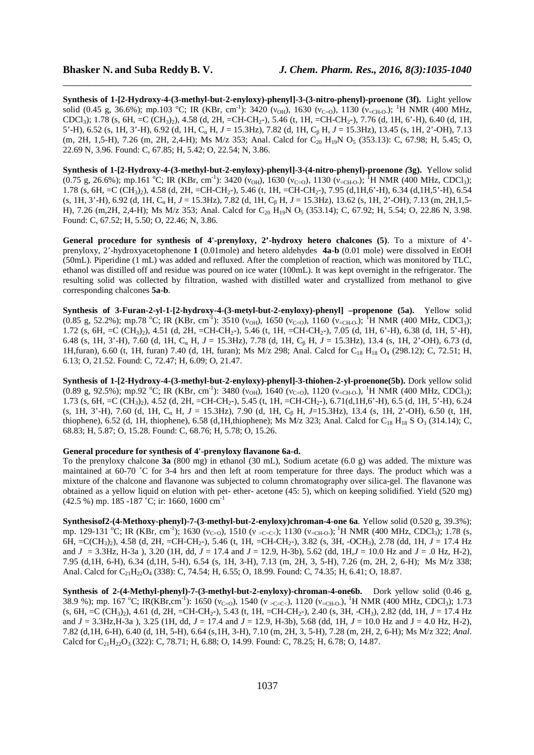**Synthesis of 1-[2-Hydroxy-4-(3-methyl-but-2-enyloxy)-phenyl]-3-(3-nitro-phenyl)-proenone (3f).**Light yellow solid (0.45 g, 36.6%); mp.103 °C; IR (KBr, cm<sup>-1</sup>): 3420 ( $v_{OH}$ ), 1630 ( $v_{C=0}$ ), 1130 ( $v_{C=CH-O}$ ); <sup>1</sup>H NMR (400 MHz, CDCl<sub>3</sub>); 1.78 (s, 6H, =C (CH<sub>3</sub>)<sub>2</sub>), 4.58 (d, 2H, =CH-CH<sub>2</sub>-), 5.46 (t, 1H, =CH-CH<sub>2</sub>-), 7.76 (d, 1H, 6'-H), 6.40 (d, 1H, 5'-H), 6.52 (s, 1H, 3'-H), 6.92 (d, 1H, Cα H, *J* = 15.3Hz), 7.82 (d, 1H, Cβ H, *J* = 15.3Hz), 13.45 (s, 1H, 2'-OH), 7.13 (m, 2H, 1,5-H), 7.26 (m, 2H, 2,4-H); Ms M/z 353; Anal. Calcd for  $C_{20}$  H<sub>19</sub>N O<sub>5</sub> (353.13): C, 67.98; H, 5.45; O, 22.69 N, 3.96. Found: C, 67.85; H, 5.42; O, 22.54; N, 3.86.

\_\_\_\_\_\_\_\_\_\_\_\_\_\_\_\_\_\_\_\_\_\_\_\_\_\_\_\_\_\_\_\_\_\_\_\_\_\_\_\_\_\_\_\_\_\_\_\_\_\_\_\_\_\_\_\_\_\_\_\_\_\_\_\_\_\_\_\_\_\_\_\_\_\_\_\_\_\_

**Synthesis of 1-[2-Hydroxy-4-(3-methyl-but-2-enyloxy)-phenyl]-3-(4-nitro-phenyl)-proenone** *(***3g).**Yellow solid (0.75 g, 26.6%); mp.161 °C; IR (KBr, cm<sup>-1</sup>): 3420 ( $v_{OH}$ ), 1630 ( $v_{C=0}$ ), 1130 ( $v_{c=CH_0}$ ); <sup>1</sup>H NMR (400 MHz, CDCl<sub>3</sub>); 1.78 (s, 6H, =C (CH<sub>3</sub>)<sub>2</sub>), 4.58 (d, 2H, =CH-CH<sub>2</sub>-), 5.46 (t, 1H, =CH-CH<sub>2</sub>-), 7.95 (d,1H,6'-H), 6.34 (d,1H,5'-H), 6.54 (s, 1H, 3'-H), 6.92 (d, 1H, Cα H, *J* = 15.3Hz), 7.82 (d, 1H, Cβ H, *J* = 15.3Hz), 13.62 (s, 1H, 2'-OH), 7.13 (m, 2H,1,5- H), 7.26 (m,2H, 2,4-H); Ms M/z 353; Anal. Calcd for C<sub>20</sub> H<sub>19</sub>N O<sub>5</sub> (353.14); C, 67.92; H, 5.54; O, 22.86 N, 3.98. Found: C, 67.52; H, 5.50; O, 22.46; N, 3.86.

**General procedure for synthesis of 4'-prenyloxy, 2'-hydroxy hetero chalcones (5)**. To a mixture of 4' prenyloxy, 2'-hydroxyacetophenone **1** (0.01mole) and hetero aldehydes **4a-b** (0.01 mole) were dissolved in EtOH (50mL). Piperidine (1 mL) was added and refluxed. After the completion of reaction, which was monitored by TLC, ethanol was distilled off and residue was poured on ice water (100mL). It was kept overnight in the refrigerator. The resulting solid was collected by filtration, washed with distilled water and crystallized from methanol to give corresponding chalcones **5a-b**.

**Synthesis of 3-Furan-2-yl-1-[2-hydroxy-4-(3-metyl-but-2-enyloxy)-phenyl] –propenone (5a).**Yellow solid (0.85 g, 52.2%); mp.78 °C; IR (KBr, cm<sup>-1</sup>): 3510 ( $v_{OH}$ ), 1650 ( $v_{C=0}$ ), 1160 ( $v_{C=CH-O}$ ); <sup>1</sup>H NMR (400 MHz, CDCl<sub>3</sub>); 1.72 (s, 6H, =C (CH<sub>3</sub>)<sub>2</sub>), 4.51 (d, 2H, =CH-CH<sub>2</sub>-), 5.46 (t, 1H, =CH-CH<sub>2</sub>-), 7.05 (d, 1H, 6'-H), 6.38 (d, 1H, 5'-H), 6.48 (s, 1H, 3'-H), 7.60 (d, 1H, Cα H, *J* = 15.3Hz), 7.78 (d, 1H, Cβ H, *J* = 15.3Hz), 13.4 (s, 1H, 2'-OH), 6.73 (d, 1H,furan), 6.60 (t, 1H, furan) 7.40 (d, 1H, furan); Ms M/z 298; Anal. Calcd for C18 H18 O4 (298.12); C, 72.51; H, 6.13; O, 21.52. Found: C, 72.47; H, 6.09; O, 21.47.

**Synthesis of 1-[2-Hydroxy-4-(3-methyl-but-2-enyloxy)-phenyl]-3-thiohen-2-yl-proenone(5b).** Dork yellow solid (0.89 g, 92.5%); mp.92 °C; IR (KBr, cm<sup>-1</sup>): 3480 ( $v_{OH}$ ), 1640 ( $v_{C=0}$ ), 1120 ( $v_{C=CHO}$ ), <sup>1</sup>H NMR (400 MHz, CDCl<sub>3</sub>); 1.73 (s, 6H, =C (CH<sub>3</sub>)<sub>2</sub>), 4.52 (d, 2H, =CH-CH<sub>2</sub>-), 5.45 (t, 1H, =CH-CH<sub>2</sub>-), 6.71(d,1H,6'-H), 6.5 (d, 1H, 5'-H), 6.24 (s, 1H, 3'-H), 7.60 (d, 1H, Cα H, *J* = 15.3Hz), 7.90 (d, 1H, Cβ H, *J*=15.3Hz), 13.4 (s, 1H, 2'-OH), 6.50 (t, 1H, thiophene), 6.52 (d, 1H, thiophene), 6.58 (d,1H,thiophene); Ms M/z 323; Anal. Calcd for  $C_{18}$  H<sub>18</sub> S O<sub>3</sub> (314.14); C, 68.83; H, 5.87; O, 15.28. Found: C, 68.76; H, 5.78; O, 15.26.

#### **General procedure for synthesis of 4'-prenyloxy flavanone 6a-d.**

To the prenyloxy chalcone **3a** (800 mg) in ethanol (30 mL), Sodium acetate (6.0 g) was added. The mixture was maintained at 60-70 ˚C for 3-4 hrs and then left at room temperature for three days. The product which was a mixture of the chalcone and flavanone was subjected to column chromatography over silica-gel. The flavanone was obtained as a yellow liquid on elution with pet- ether- acetone (45: 5), which on keeping solidified. Yield (520 mg) (42.5 %) mp. 185 -187 ˚C; ir: 1660, 1600 cm-1

**Synthesisof2-(4-Methoxy-phenyl)-7-(3-methyl-but-2-enyloxy)chroman-4-one 6a***.* Yellow solid (0.520 g, 39.3%); mp. 129-131 °C; IR (KBr, cm<sup>-1</sup>); 1630 ( $v_{C=0}$ ), 1510 ( $v_{S=C=C}$ ); 1130 ( $v_{C=CH-O}$ ); <sup>1</sup>H NMR (400 MHz, CDCl<sub>3</sub>); 1.78 (s, 6H, =C(CH3)2), 4.58 (d, 2H, =CH-CH2-), 5.46 (t, 1H, =CH-CH2-), 3.82 (s, 3H, -OCH3), 2.78 (dd, 1H, *J* = 17.4 Hz and *J* = 3.3Hz, H-3a ), 3.20 (1H, dd, *J* = 17.4 and *J* = 12.9, H-3b), 5.62 (dd, 1H,*J* = 10.0 Hz and *J* = .0 Hz, H-2), 7.95 (d,1H, 6-H), 6.34 (d,1H, 5-H), 6.54 (s, 1H, 3-H), 7.13 (m, 2H, 3, 5-H), 7.26 (m, 2H, 2, 6-H); Ms M/z 338; Anal. Calcd for  $C_{21}H_{22}O_4$  (338): C, 74.54; H, 6.55; O, 18.99. Found: C, 74.35; H, 6.41; O, 18.87.

**Synthesis of 2-(4-Methyl-phenyl)-7-(3-methyl-but-2-enyloxy)-chroman-4-one6b.**Dork yellow solid (0.46 g, 38.9 %); mp. 167 °C; IR(KBr,cm<sup>-1</sup>): 1650 ( $v_{C=0}$ ), 1540 ( $v_{S=CC}$ ), 1120 ( $v_{C=CH-0}$ ), <sup>1</sup>H NMR (400 MHz, CDCl<sub>3</sub>); 1.73 (s, 6H, =C (CH3)2), 4.61 (d, 2H, =CH-CH2-), 5.43 (t, 1H, =CH-CH2-), 2.40 (s, 3H, -CH3), 2.82 (dd, 1H, *J* = 17.4 Hz and *J* = 3.3Hz,H-3a ), 3.25 (1H, dd, *J* = 17.4 and *J* = 12.9, H-3b), 5.68 (dd, 1H, *J* = 10.0 Hz and J = 4.0 Hz, H-2), 7.82 (d,1H, 6-H), 6.40 (d, 1H, 5-H), 6.64 (s,1H, 3-H), 7.10 (m, 2H, 3, 5-H), 7.28 (m, 2H, 2, 6-H); Ms M/z 322; *Anal*. Calcd for  $C_{21}H_{22}O_3$  (322): C, 78.71; H, 6.88; O, 14.99. Found: C, 78.25; H, 6.78; O, 14.87.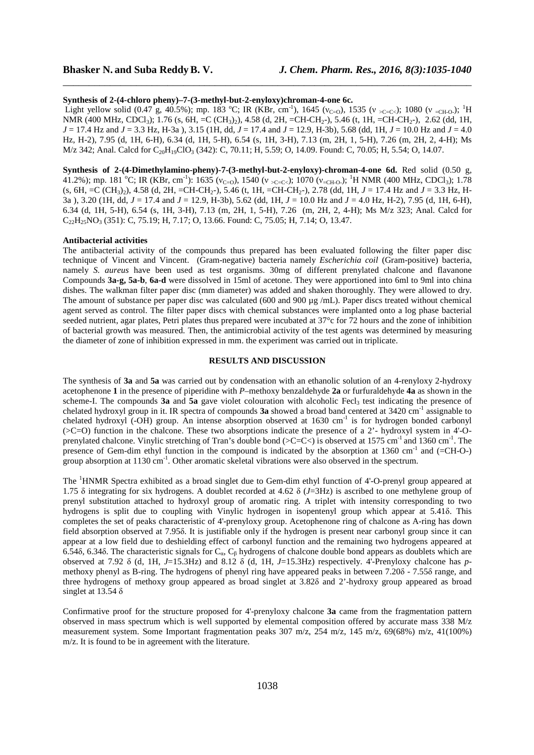#### **Synthesis of 2-(4-chloro pheny)–7-(3-methyl-but-2-enyloxy)chroman-4-one 6c.**

Light yellow solid (0.47 g, 40.5%); mp. 183 °C; IR (KBr, cm<sup>-1</sup>), 1645 ( $v_{\text{C=0}}$ ), 1535 ( $v_{\text{SC=C<sub>c</sub>}}$ ); 1080 ( $v_{\text{C=CD}}$ ); <sup>1</sup>H NMR (400 MHz, CDCl<sub>3</sub>); 1.76 (s, 6H, =C (CH<sub>3</sub>)<sub>2</sub>), 4.58 (d, 2H, =CH-CH<sub>2</sub>-), 5.46 (t, 1H, =CH-CH<sub>2</sub>-), 2.62 (dd, 1H, *J* = 17.4 Hz and *J* = 3.3 Hz, H-3a ), 3.15 (1H, dd, *J* = 17.4 and *J* = 12.9, H-3b), 5.68 (dd, 1H, *J* = 10.0 Hz and *J* = 4.0 Hz, H-2), 7.95 (d, 1H, 6-H), 6.34 (d, 1H, 5-H), 6.54 (s, 1H, 3-H), 7.13 (m, 2H, 1, 5-H), 7.26 (m, 2H, 2, 4-H); Ms M/z 342; Anal. Calcd for  $C_{20}H_{19}ClO_3$  (342): C, 70.11; H, 5.59; O, 14.09. Found: C, 70.05; H, 5.54; O, 14.07.

\_\_\_\_\_\_\_\_\_\_\_\_\_\_\_\_\_\_\_\_\_\_\_\_\_\_\_\_\_\_\_\_\_\_\_\_\_\_\_\_\_\_\_\_\_\_\_\_\_\_\_\_\_\_\_\_\_\_\_\_\_\_\_\_\_\_\_\_\_\_\_\_\_\_\_\_\_\_

**Synthesis of 2-(4-Dimethylamino-pheny)-7-(3-methyl-but-2-enyloxy)-chroman-4-one 6d.** Red solid (0.50 g, 41.2%); mp. 181 °C; IR (KBr, cm<sup>-1</sup>): 1635 ( $v_{C=O}$ ), 1540 ( $v_{C=C<}$ ); 1070 ( $v_{C=CH-O}$ ); <sup>1</sup>H NMR (400 MHz, CDCl<sub>3</sub>); 1.78 (s, 6H, =C (CH3)2), 4.58 (d, 2H, =CH-CH2-), 5.46 (t, 1H, =CH-CH2-), 2.78 (dd, 1H, *J* = 17.4 Hz and *J* = 3.3 Hz, H-3a ), 3.20 (1H, dd, *J* = 17.4 and *J* = 12.9, H-3b), 5.62 (dd, 1H, *J* = 10.0 Hz and *J* = 4.0 Hz, H-2), 7.95 (d, 1H, 6-H), 6.34 (d, 1H, 5-H), 6.54 (s, 1H, 3-H), 7.13 (m, 2H, 1, 5-H), 7.26 (m, 2H, 2, 4-H); Ms M/z 323; Anal. Calcd for C<sub>22</sub>H<sub>25</sub>NO<sub>3</sub> (351): C, 75.19; H, 7.17; O, 13.66. Found: C, 75.05; H, 7.14; O, 13.47.

#### **Antibacterial activities**

The antibacterial activity of the compounds thus prepared has been evaluated following the filter paper disc technique of Vincent and Vincent. (Gram-negative) bacteria namely *Escherichia coil* (Gram-positive) bacteria, namely *S. aureus* have been used as test organisms. 30mg of different prenylated chalcone and flavanone Compounds **3a-g, 5a-b**, **6a-d** were dissolved in 15ml of acetone. They were apportioned into 6ml to 9ml into china dishes. The walkman filter paper disc (mm diameter) was added and shaken thoroughly. They were allowed to dry. The amount of substance per paper disc was calculated (600 and 900 µg /mL). Paper discs treated without chemical agent served as control. The filter paper discs with chemical substances were implanted onto a log phase bacterial seeded nutrient, agar plates, Petri plates thus prepared were incubated at 37°c for 72 hours and the zone of inhibition of bacterial growth was measured. Then, the antimicrobial activity of the test agents was determined by measuring the diameter of zone of inhibition expressed in mm. the experiment was carried out in triplicate.

## **RESULTS AND DISCUSSION**

The synthesis of **3a** and **5a** was carried out by condensation with an ethanolic solution of an 4-renyloxy 2-hydroxy acetophenone **1** in the presence of piperidine with *P*–methoxy benzaldehyde **2a** or furfuraldehyde **4a** as shown in the scheme-I. The compounds  $3a$  and  $5a$  gave violet colouration with alcoholic Fecl<sub>3</sub> test indicating the presence of chelated hydroxyl group in it. IR spectra of compounds **3a** showed a broad band centered at 3420 cm-1 assignable to chelated hydroxyl (-OH) group. An intense absorption observed at  $1630 \text{ cm}^{-1}$  is for hydrogen bonded carbonyl (>C=O) function in the chalcone. These two absorptions indicate the presence of a 2'- hydroxyl system in 4'-Oprenylated chalcone. Vinylic stretching of Tran's double bond ( $\geq$ C $\leq$ ) is observed at 1575 cm<sup>-1</sup> and 1360 cm<sup>-1</sup>. The presence of Gem-dim ethyl function in the compound is indicated by the absorption at 1360 cm<sup>-1</sup> and (=CH-O-) group absorption at  $1130 \text{ cm}^{-1}$ . Other aromatic skeletal vibrations were also observed in the spectrum.

The <sup>1</sup>HNMR Spectra exhibited as a broad singlet due to Gem-dim ethyl function of 4'-O-prenyl group appeared at 1.75 δ integrating for six hydrogens. A doublet recorded at 4.62 δ (*J*=3Hz) is ascribed to one methylene group of prenyl substitution attached to hydroxyl group of aromatic ring. A triplet with intensity corresponding to two hydrogens is split due to coupling with Vinylic hydrogen in isopentenyl group which appear at 5.41δ. This completes the set of peaks characteristic of 4'-prenyloxy group. Acetophenone ring of chalcone as A-ring has down field absorption observed at 7.95δ. It is justifiable only if the hydrogen is present near carbonyl group since it can appear at a low field due to deshielding effect of carbonyl function and the remaining two hydrogens appeared at 6.54δ, 6.34δ. The characteristic signals for  $C_\alpha$ ,  $C_\beta$  hydrogens of chalcone double bond appears as doublets which are observed at 7.92 δ (d, 1H, *J*=15.3Hz) and 8.12 δ (d, 1H, *J*=15.3Hz) respectively. 4'-Prenyloxy chalcone has *p*methoxy phenyl as B-ring. The hydrogens of phenyl ring have appeared peaks in between 7.20δ - 7.55δ range, and three hydrogens of methoxy group appeared as broad singlet at 3.82δ and 2'-hydroxy group appeared as broad singlet at 13.54  $\delta$ 

Confirmative proof for the structure proposed for 4'-prenyloxy chalcone **3a** came from the fragmentation pattern observed in mass spectrum which is well supported by elemental composition offered by accurate mass 338 M/z measurement system. Some Important fragmentation peaks 307 m/z, 254 m/z, 145 m/z, 69(68%) m/z, 41(100%) m/z. It is found to be in agreement with the literature.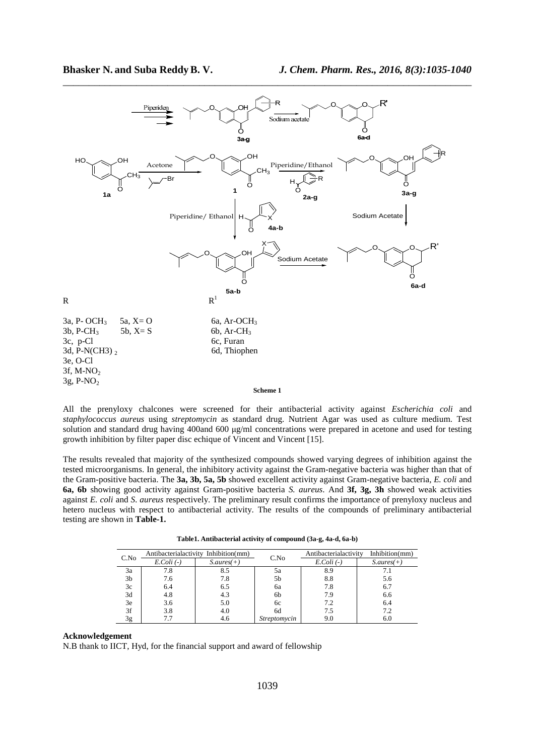

All the prenyloxy chalcones were screened for their antibacterial activity against *Escherichia coli* and *staphylococcus aureus* using *streptomycin* as standard drug. Nutrient Agar was used as culture medium. Test solution and standard drug having 400and 600 µg/ml concentrations were prepared in acetone and used for testing growth inhibition by filter paper disc echique of Vincent and Vincent [15].

The results revealed that majority of the synthesized compounds showed varying degrees of inhibition against the tested microorganisms. In general, the inhibitory activity against the Gram-negative bacteria was higher than that of the Gram-positive bacteria. The **3a, 3b, 5a, 5b** showed excellent activity against Gram-negative bacteria, *E. coli* and **6a, 6b** showing good activity against Gram-positive bacteria *S. aureus*. And **3f, 3g, 3h** showed weak activities against *E. coli* and *S. aureus* respectively. The preliminary result confirms the importance of prenyloxy nucleus and hetero nucleus with respect to antibacterial activity. The results of the compounds of preliminary antibacterial testing are shown in **Table-1.** 

|  |  | Table 1. Antibacterial activity of compound (3a-g, 4a-d, 6a-b) |
|--|--|----------------------------------------------------------------|
|--|--|----------------------------------------------------------------|

| C.No |                 | Antibacterialactivity Inhibition(mm) |                     | Antibacterialactivity | Inhibition(mm)                 |
|------|-----------------|--------------------------------------|---------------------|-----------------------|--------------------------------|
|      | $E.$ Coli $(-)$ | $S_\text{.} \text{aures}(+)$         | C.No                | $E.$ Coli $(-)$       | $S_\text{.} \textit{aures}(+)$ |
| 3a   | 7.8             | 8.5                                  | эa                  | 8.9                   |                                |
| 3b   | 7.6             | 7.8                                  | 5b                  | 8.8                   | 5.6                            |
| 3c   | 6.4             | 6.5                                  | ба                  | 7.8                   | 6.7                            |
| 3d   | 4.8             | 4.3                                  | 6b                  | 7.9                   | 6.6                            |
| 3e   | 3.6             | 5.0                                  | 6с                  | 7.2                   | 6.4                            |
| 3f   | 3.8             | 4.0                                  | 6d                  | 7.5                   | 7.2                            |
| 3g   | 7.7             | 4.6                                  | <i>Streptomycin</i> | 9.0                   | 6.0                            |

#### **Acknowledgement**

N.B thank to IICT, Hyd, for the financial support and award of fellowship